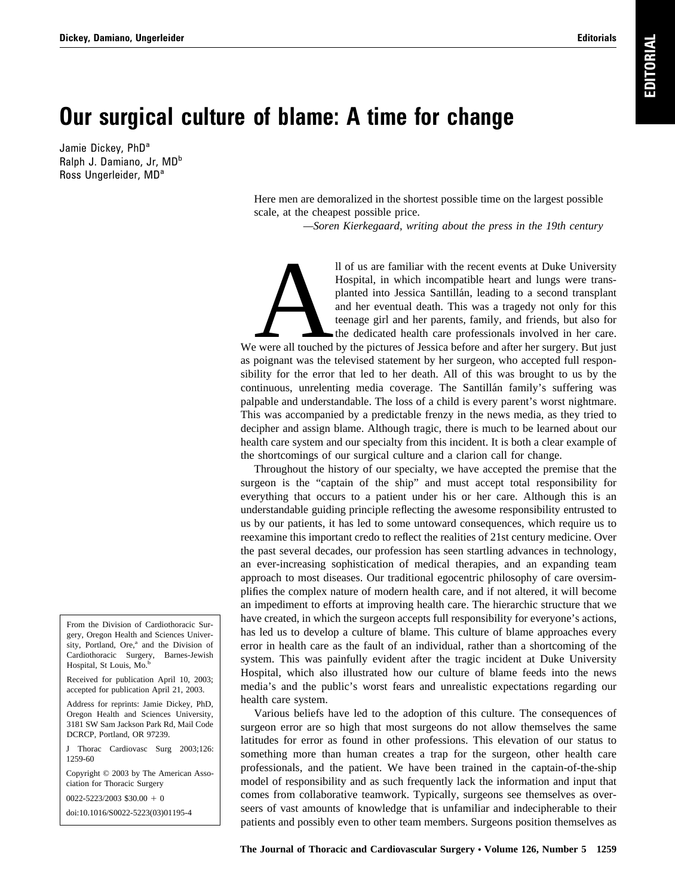## **Our surgical culture of blame: A time for change**

Jamie Dickey, PhD<sup>a</sup> Ralph J. Damiano, Jr, MD<sup>b</sup> Ross Ungerleider, MD<sup>a</sup>

> Here men are demoralized in the shortest possible time on the largest possible scale, at the cheapest possible price.

> > *—Soren Kierkegaard, writing about the press in the 19th century*

Il of us are familiar with the recent events at Duke University<br>Hospital, in which incompatible heart and lungs were trans-<br>planted into Jessica Santillán, leading to a second transplant<br>and her eventual death. This was a Hospital, in which incompatible heart and lungs were transplanted into Jessica Santillán, leading to a second transplant and her eventual death. This was a tragedy not only for this teenage girl and her parents, family, and friends, but also for the dedicated health care professionals involved in her care.

We were all touched by the pictures of Jessica before and after her surgery. But just as poignant was the televised statement by her surgeon, who accepted full responsibility for the error that led to her death. All of this was brought to us by the continuous, unrelenting media coverage. The Santilla<sup>n</sup> family's suffering was palpable and understandable. The loss of a child is every parent's worst nightmare. This was accompanied by a predictable frenzy in the news media, as they tried to decipher and assign blame. Although tragic, there is much to be learned about our health care system and our specialty from this incident. It is both a clear example of the shortcomings of our surgical culture and a clarion call for change.

Throughout the history of our specialty, we have accepted the premise that the surgeon is the "captain of the ship" and must accept total responsibility for everything that occurs to a patient under his or her care. Although this is an understandable guiding principle reflecting the awesome responsibility entrusted to us by our patients, it has led to some untoward consequences, which require us to reexamine this important credo to reflect the realities of 21st century medicine. Over the past several decades, our profession has seen startling advances in technology, an ever-increasing sophistication of medical therapies, and an expanding team approach to most diseases. Our traditional egocentric philosophy of care oversimplifies the complex nature of modern health care, and if not altered, it will become an impediment to efforts at improving health care. The hierarchic structure that we have created, in which the surgeon accepts full responsibility for everyone's actions, has led us to develop a culture of blame. This culture of blame approaches every error in health care as the fault of an individual, rather than a shortcoming of the system. This was painfully evident after the tragic incident at Duke University Hospital, which also illustrated how our culture of blame feeds into the news media's and the public's worst fears and unrealistic expectations regarding our health care system.

Various beliefs have led to the adoption of this culture. The consequences of surgeon error are so high that most surgeons do not allow themselves the same latitudes for error as found in other professions. This elevation of our status to something more than human creates a trap for the surgeon, other health care professionals, and the patient. We have been trained in the captain-of-the-ship model of responsibility and as such frequently lack the information and input that comes from collaborative teamwork. Typically, surgeons see themselves as overseers of vast amounts of knowledge that is unfamiliar and indecipherable to their patients and possibly even to other team members. Surgeons position themselves as

From the Division of Cardiothoracic Surgery, Oregon Health and Sciences University, Portland, Ore,<sup>a</sup> and the Division of Cardiothoracic Surgery, Barnes-Jewish Hospital, St Louis, Mo.<sup>b</sup>

Received for publication April 10, 2003; accepted for publication April 21, 2003.

Address for reprints: Jamie Dickey, PhD, Oregon Health and Sciences University, 3181 SW Sam Jackson Park Rd, Mail Code DCRCP, Portland, OR 97239.

J Thorac Cardiovasc Surg 2003;126: 1259-60

Copyright © 2003 by The American Association for Thoracic Surgery

 $0022 - 5223/2003$  \$30.00 + 0

doi:10.1016/S0022-5223(03)01195-4